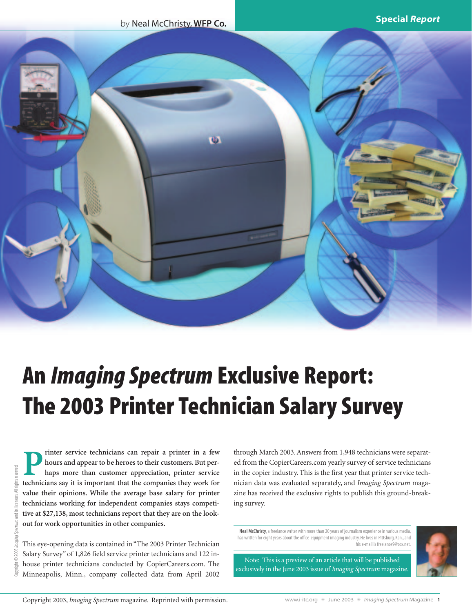by Neal McChristy, **WFP Co.**



# **An** *Imaging Spectrum* **Exclusive Report: The 2003 Printer Technician Salary Survey**

**P** rinter service technicians can repair a printer in a few<br>hours and appear to be heroes to their customers. But per-<br>haps more than customer appreciation, printer service<br>technicians say it is important that the compani **hours and appear to be heroes to their customers. But perhaps more than customer appreciation, printer service technicians say it is important that the companies they work for value their opinions. While the average base salary for printer technicians working for independent companies stays competitive at \$27,138, most technicians report that they are on the lookout for work opportunities in other companies.**

This eye-opening data is contained in "The 2003 Printer Technician Salary Survey" of 1,826 field service printer technicians and 122 inhouse printer technicians conducted by CopierCareers.com. The Minneapolis, Minn., company collected data from April 2002 through March 2003. Answers from 1,948 technicians were separated from the CopierCareers.com yearly survey of service technicians in the copier industry. This is the first year that printer service technician data was evaluated separately, and *Imaging Spectrum* magazine has received the exclusive rights to publish this ground-breaking survey.

**Neal McChristy**, a freelance writer with more than 20 years of journalism experience in various media, has written for eight years about the office-equipment imaging industry. He lives in Pittsburg, Kan., and his e-mail is freelance9@cox.net.



Note: This is a preview of an article that will be published exclusively in the June 2003 issue of *Imaging Spectrum* magazine.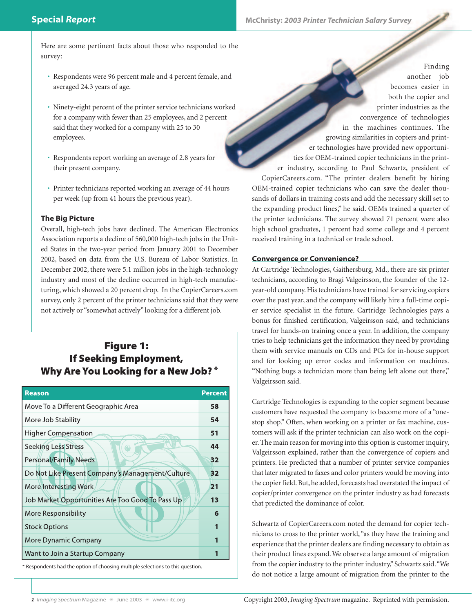Here are some pertinent facts about those who responded to the survey:

- Respondents were 96 percent male and 4 percent female, and averaged 24.3 years of age.
- Ninety-eight percent of the printer service technicians worked for a company with fewer than 25 employees, and 2 percent said that they worked for a company with 25 to 30 employees.
- Respondents report working an average of 2.8 years for their present company.
- Printer technicians reported working an average of 44 hours per week (up from 41 hours the previous year).

#### **The Big Picture**

Overall, high-tech jobs have declined. The American Electronics Association reports a decline of 560,000 high-tech jobs in the United States in the two-year period from January 2001 to December 2002, based on data from the U.S. Bureau of Labor Statistics. In December 2002, there were 5.1 million jobs in the high-technology industry and most of the decline occurred in high-tech manufacturing, which showed a 20 percent drop. In the CopierCareers.com survey, only 2 percent of the printer technicians said that they were not actively or "somewhat actively" looking for a different job.

## **Figure 1:** If Seeking Employment, **Why Are You Looking for a New Job?**\*

| <b>Percent</b> |
|----------------|
| 58             |
| 54             |
| 51             |
| 44             |
| 32             |
| 32             |
| 21             |
| 13             |
| 6              |
|                |
|                |
|                |
|                |

Finding another job becomes easier in both the copier and printer industries as the convergence of technologies in the machines continues. The growing similarities in copiers and printer technologies have provided new opportunities for OEM-trained copier technicians in the printer industry, according to Paul Schwartz, president of CopierCareers.com. "The printer dealers benefit by hiring OEM-trained copier technicians who can save the dealer thousands of dollars in training costs and add the necessary skill set to the expanding product lines," he said. OEMs trained a quarter of the printer technicians. The survey showed 71 percent were also high school graduates, 1 percent had some college and 4 percent received training in a technical or trade school.

## **Convergence or Convenience?**

At Cartridge Technologies, Gaithersburg, Md., there are six printer technicians, according to Bragi Valgeirsson, the founder of the 12 year-old company. His technicians have trained for servicing copiers over the past year, and the company will likely hire a full-time copier service specialist in the future. Cartridge Technologies pays a bonus for finished certification, Valgeirsson said, and technicians travel for hands-on training once a year. In addition, the company tries to help technicians get the information they need by providing them with service manuals on CDs and PCs for in-house support and for looking up error codes and information on machines. "Nothing bugs a technician more than being left alone out there," Valgeirsson said.

Cartridge Technologies is expanding to the copier segment because customers have requested the company to become more of a "onestop shop." Often, when working on a printer or fax machine, customers will ask if the printer technician can also work on the copier. The main reason for moving into this option is customer inquiry, Valgeirsson explained, rather than the convergence of copiers and printers. He predicted that a number of printer service companies that later migrated to faxes and color printers would be moving into the copier field. But, he added, forecasts had overstated the impact of copier/printer convergence on the printer industry as had forecasts that predicted the dominance of color.

Schwartz of CopierCareers.com noted the demand for copier technicians to cross to the printer world, "as they have the training and experience that the printer dealers are finding necessary to obtain as their product lines expand. We observe a large amount of migration from the copier industry to the printer industry," Schwartz said."We do not notice a large amount of migration from the printer to the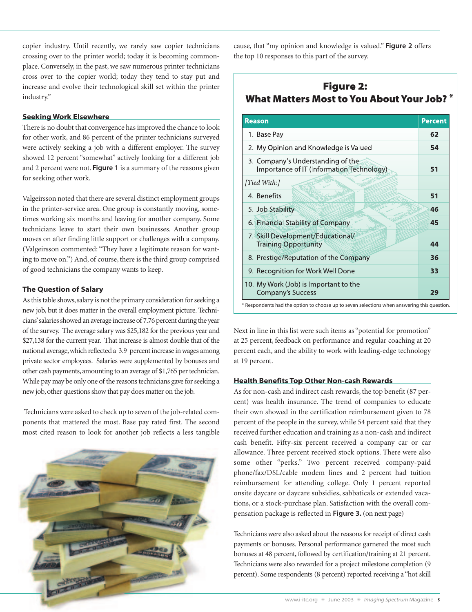copier industry. Until recently, we rarely saw copier technicians crossing over to the printer world; today it is becoming commonplace. Conversely, in the past, we saw numerous printer technicians cross over to the copier world; today they tend to stay put and increase and evolve their technological skill set within the printer industry."

#### **Seeking Work Elsewhere**

There is no doubt that convergence has improved the chance to look for other work, and 86 percent of the printer technicians surveyed were actively seeking a job with a different employer. The survey showed 12 percent "somewhat" actively looking for a different job and 2 percent were not. **Figure 1** is a summary of the reasons given for seeking other work.

Valgeirsson noted that there are several distinct employment groups in the printer-service area. One group is constantly moving, sometimes working six months and leaving for another company. Some technicians leave to start their own businesses. Another group moves on after finding little support or challenges with a company. (Valgeirsson commented: "They have a legitimate reason for wanting to move on.") And, of course, there is the third group comprised of good technicians the company wants to keep.

#### **The Question of Salary**

As this table shows, salary is not the primary consideration for seeking a new job, but it does matter in the overall employment picture. Technicians'salaries showed an average increase of 7.76 percent during the year of the survey. The average salary was \$25,182 for the previous year and \$27,138 for the current year. That increase is almost double that of the national average,which reflected a 3.9 percent increase in wages among private sector employees. Salaries were supplemented by bonuses and other cash payments, amounting to an average of \$1,765 per technician. While pay may be only one of the reasons technicians gave for seeking a new job, other questions show that pay does matter on the job.

Technicians were asked to check up to seven of the job-related components that mattered the most. Base pay rated first. The second most cited reason to look for another job reflects a less tangible



cause, that "my opinion and knowledge is valued." **Figure 2** offers the top 10 responses to this part of the survey.

## **Figure 2: What Matters Most to You About Your Job?** \*

| <b>Reason</b>                                                                  | <b>Percent</b> |
|--------------------------------------------------------------------------------|----------------|
| 1. Base Pay                                                                    | 62             |
| 2. My Opinion and Knowledge is Valued                                          | 54             |
| 3. Company's Understanding of the<br>Importance of IT (Information Technology) | 51             |
| [Tied With:]                                                                   |                |
| 4. Benefits                                                                    | 51             |
| 5. Job Stability                                                               | 46             |
| 6. Financial Stability of Company                                              | 45             |
| 7. Skill Development/Educational/<br><b>Training Opportunity</b>               | 44             |
| 8. Prestige/Reputation of the Company                                          | 36             |
| 9. Recognition for Work Well Done                                              | 33             |
| 10. My Work (Job) is Important to the<br><b>Company's Success</b>              | 29             |

Next in line in this list were such items as "potential for promotion" at 25 percent, feedback on performance and regular coaching at 20 percent each, and the ability to work with leading-edge technology at 19 percent.

## **Health Benefits Top Other Non-cash Rewards**

As for non-cash and indirect cash rewards, the top benefit (87 percent) was health insurance. The trend of companies to educate their own showed in the certification reimbursement given to 78 percent of the people in the survey, while 54 percent said that they received further education and training as a non-cash and indirect cash benefit. Fifty-six percent received a company car or car allowance. Three percent received stock options. There were also some other "perks." Two percent received company-paid phone/fax/DSL/cable modem lines and 2 percent had tuition reimbursement for attending college. Only 1 percent reported onsite daycare or daycare subsidies, sabbaticals or extended vacations, or a stock-purchase plan. Satisfaction with the overall compensation package is reflected in **Figure 3.** (on next page)

Technicians were also asked about the reasons for receipt of direct cash payments or bonuses. Personal performance garnered the most such bonuses at 48 percent, followed by certification/training at 21 percent. Technicians were also rewarded for a project milestone completion (9 percent). Some respondents (8 percent) reported receiving a "hot skill